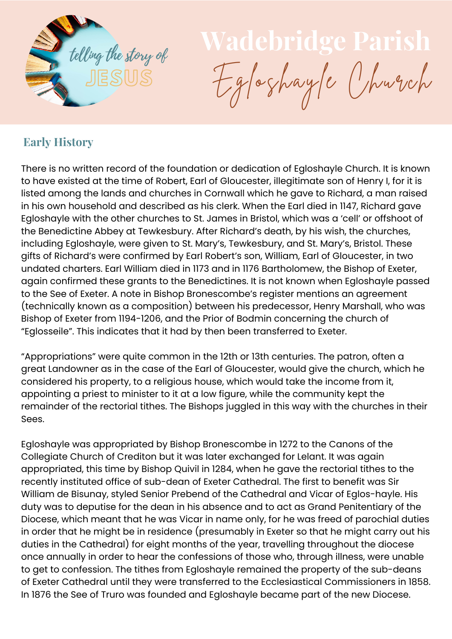

## JESUS Egloshayle Church

## **Early History**

There is no written record of the foundation or dedication of Egloshayle Church. It is known to have existed at the time of Robert, Earl of Gloucester, illegitimate son of Henry I, for it is listed among the lands and churches in Cornwall which he gave to Richard, a man raised in his own household and described as his clerk. When the Earl died in 1147, Richard gave Egloshayle with the other churches to St. James in Bristol, which was a 'cell' or offshoot of the Benedictine Abbey at Tewkesbury. After Richard's death, by his wish, the churches, including Egloshayle, were given to St. Mary's, Tewkesbury, and St. Mary's, Bristol. These gifts of Richard's were confirmed by Earl Robert's son, William, Earl of Gloucester, in two undated charters. Earl William died in 1173 and in 1176 Bartholomew, the Bishop of Exeter, again confirmed these grants to the Benedictines. It is not known when Egloshayle passed to the See of Exeter. A note in Bishop Bronescombe's register mentions an agreement (technically known as a composition) between his predecessor, Henry Marshall, who was Bishop of Exeter from 1194-1206, and the Prior of Bodmin concerning the church of "Eglosseile". This indicates that it had by then been transferred to Exeter.

"Appropriations" were quite common in the 12th or 13th centuries. The patron, often a great Landowner as in the case of the Earl of Gloucester, would give the church, which he considered his property, to a religious house, which would take the income from it, appointing a priest to minister to it at a low figure, while the community kept the remainder of the rectorial tithes. The Bishops juggled in this way with the churches in their Sees.

Egloshayle was appropriated by Bishop Bronescombe in 1272 to the Canons of the Collegiate Church of Crediton but it was later exchanged for Lelant. It was again appropriated, this time by Bishop Quivil in 1284, when he gave the rectorial tithes to the recently instituted office of sub-dean of Exeter Cathedral. The first to benefit was Sir William de Bisunay, styled Senior Prebend of the Cathedral and Vicar of Eglos-hayle. His duty was to deputise for the dean in his absence and to act as Grand Penitentiary of the Diocese, which meant that he was Vicar in name only, for he was freed of parochial duties in order that he might be in residence (presumably in Exeter so that he might carry out his duties in the Cathedral) for eight months of the year, travelling throughout the diocese once annually in order to hear the confessions of those who, through illness, were unable to get to confession. The tithes from Egloshayle remained the property of the sub-deans of Exeter Cathedral until they were transferred to the Ecclesiastical Commissioners in 1858. In 1876 the See of Truro was founded and Egloshayle became part of the new Diocese.